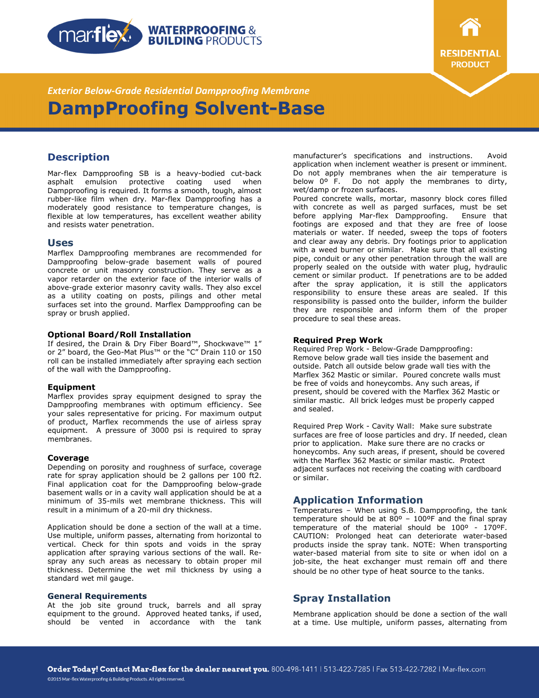



*Exterior Below-Grade Residential Dampproofing Membrane*  **DampProofing Solvent-Base** 

# **Description**

Mar-flex Dampproofing SB is a heavy-bodied cut-back asphalt emulsion protective coating used when Dampproofing is required. It forms a smooth, tough, almost rubber-like film when dry. Mar-flex Dampproofing has a moderately good resistance to temperature changes, is flexible at low temperatures, has excellent weather ability and resists water penetration.

### **Uses**

Marflex Dampproofing membranes are recommended for Dampproofing below-grade basement walls of poured concrete or unit masonry construction. They serve as a vapor retarder on the exterior face of the interior walls of above-grade exterior masonry cavity walls. They also excel as a utility coating on posts, pilings and other metal surfaces set into the ground. Marflex Dampproofing can be spray or brush applied.

### **Optional Board/Roll Installation**

If desired, the Drain & Dry Fiber Board™, Shockwave™ 1" or 2" board, the Geo-Mat Plus™ or the "C" Drain 110 or 150 roll can be installed immediately after spraying each section of the wall with the Dampproofing.

### **Equipment**

Marflex provides spray equipment designed to spray the Dampproofing membranes with optimum efficiency. See your sales representative for pricing. For maximum output of product, Marflex recommends the use of airless spray equipment. A pressure of 3000 psi is required to spray membranes.

### **Coverage**

Depending on porosity and roughness of surface, coverage rate for spray application should be 2 gallons per 100 ft2. Final application coat for the Dampproofing below-grade basement walls or in a cavity wall application should be at a minimum of 35-mils wet membrane thickness. This will result in a minimum of a 20-mil dry thickness.

Application should be done a section of the wall at a time. Use multiple, uniform passes, alternating from horizontal to vertical. Check for thin spots and voids in the spray application after spraying various sections of the wall. Respray any such areas as necessary to obtain proper mil thickness. Determine the wet mil thickness by using a standard wet mil gauge.

#### **General Requirements**

©2015 Mar-flex Waterproofing & Building Products. All rights reserved.

At the job site ground truck, barrels and all spray equipment to the ground. Approved heated tanks, if used, should be vented in accordance with the tank manufacturer's specifications and instructions. Avoid application when inclement weather is present or imminent. Do not apply membranes when the air temperature is below 0º F. Do not apply the membranes to dirty, wet/damp or frozen surfaces.

Poured concrete walls, mortar, masonry block cores filled with concrete as well as parged surfaces, must be set before applying Mar-flex Dampproofing. Ensure that footings are exposed and that they are free of loose materials or water. If needed, sweep the tops of footers and clear away any debris. Dry footings prior to application with a weed burner or similar. Make sure that all existing pipe, conduit or any other penetration through the wall are properly sealed on the outside with water plug, hydraulic cement or similar product. If penetrations are to be added after the spray application, it is still the applicators responsibility to ensure these areas are sealed. If this responsibility is passed onto the builder, inform the builder they are responsible and inform them of the proper procedure to seal these areas.

#### **Required Prep Work**

Required Prep Work - Below-Grade Dampproofing: Remove below grade wall ties inside the basement and outside. Patch all outside below grade wall ties with the Marflex 362 Mastic or similar. Poured concrete walls must be free of voids and honeycombs. Any such areas, if present, should be covered with the Marflex 362 Mastic or similar mastic. All brick ledges must be properly capped and sealed.

Required Prep Work - Cavity Wall: Make sure substrate surfaces are free of loose particles and dry. If needed, clean prior to application. Make sure there are no cracks or honeycombs. Any such areas, if present, should be covered with the Marflex 362 Mastic or similar mastic. Protect adjacent surfaces not receiving the coating with cardboard or similar.

## **Application Information**

Temperatures – When using S.B. Dampproofing, the tank temperature should be at 80º – 100ºF and the final spray temperature of the material should be 100º - 170ºF. CAUTION: Prolonged heat can deteriorate water-based products inside the spray tank. NOTE: When transporting water-based material from site to site or when idol on a job-site, the heat exchanger must remain off and there should be no other type of heat source to the tanks.

# **Spray Installation**

Membrane application should be done a section of the wall at a time. Use multiple, uniform passes, alternating from